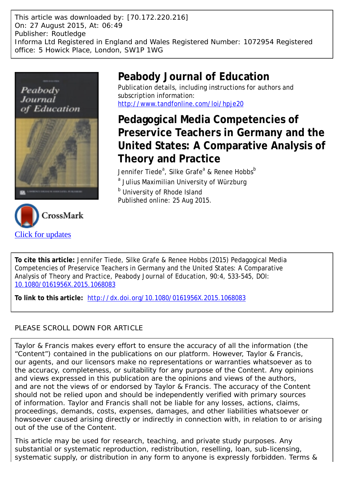This article was downloaded by: [70.172.220.216] On: 27 August 2015, At: 06:49 Publisher: Routledge Informa Ltd Registered in England and Wales Registered Number: 1072954 Registered office: 5 Howick Place, London, SW1P 1WG





## **Peabody Journal of Education**

Publication details, including instructions for authors and subscription information: <http://www.tandfonline.com/loi/hpje20>

# **Pedagogical Media Competencies of Preservice Teachers in Germany and the United States: A Comparative Analysis of Theory and Practice**

Jennifer Tiede<sup>a</sup>, Silke Grafe<sup>a</sup> & Renee Hobbs<sup>b</sup> <sup>a</sup> Julius Maximilian University of Würzburg **b** University of Rhode Island Published online: 25 Aug 2015.

**To cite this article:** Jennifer Tiede, Silke Grafe & Renee Hobbs (2015) Pedagogical Media Competencies of Preservice Teachers in Germany and the United States: A Comparative Analysis of Theory and Practice, Peabody Journal of Education, 90:4, 533-545, DOI: [10.1080/0161956X.2015.1068083](http://www.tandfonline.com/action/showCitFormats?doi=10.1080/0161956X.2015.1068083)

**To link to this article:** <http://dx.doi.org/10.1080/0161956X.2015.1068083>

### PLEASE SCROLL DOWN FOR ARTICLE

Taylor & Francis makes every effort to ensure the accuracy of all the information (the "Content") contained in the publications on our platform. However, Taylor & Francis, our agents, and our licensors make no representations or warranties whatsoever as to the accuracy, completeness, or suitability for any purpose of the Content. Any opinions and views expressed in this publication are the opinions and views of the authors, and are not the views of or endorsed by Taylor & Francis. The accuracy of the Content should not be relied upon and should be independently verified with primary sources of information. Taylor and Francis shall not be liable for any losses, actions, claims, proceedings, demands, costs, expenses, damages, and other liabilities whatsoever or howsoever caused arising directly or indirectly in connection with, in relation to or arising out of the use of the Content.

This article may be used for research, teaching, and private study purposes. Any substantial or systematic reproduction, redistribution, reselling, loan, sub-licensing, systematic supply, or distribution in any form to anyone is expressly forbidden. Terms &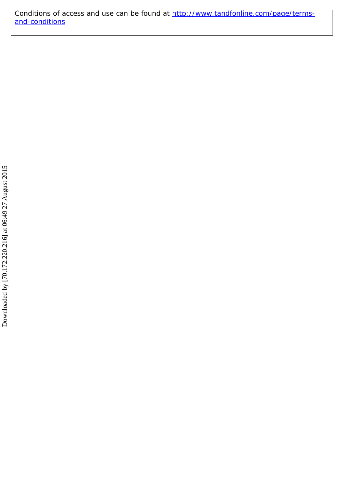Conditions of access and use can be found at [http://www.tandfonline.com/page/terms](http://www.tandfonline.com/page/terms-and-conditions)[and-conditions](http://www.tandfonline.com/page/terms-and-conditions)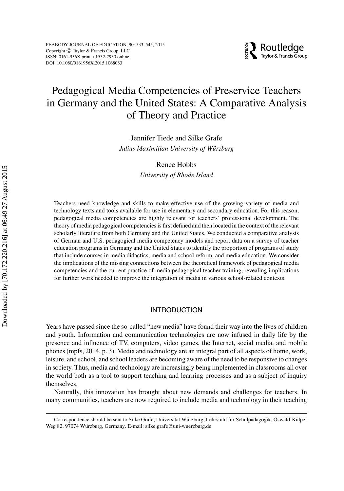PEABODY JOURNAL OF EDUCATION, 90: 533–545, 2015 Copyright © Taylor & Francis Group, LLC ISSN: 0161-956X print / 1532-7930 online DOI: 10.1080/0161956X.2015.1068083



### Pedagogical Media Competencies of Preservice Teachers in Germany and the United States: A Comparative Analysis of Theory and Practice

Jennifer Tiede and Silke Grafe *Julius Maximilian University of Würzburg* 

Renee Hobbs

*University of Rhode Island*

Teachers need knowledge and skills to make effective use of the growing variety of media and technology texts and tools available for use in elementary and secondary education. For this reason, pedagogical media competencies are highly relevant for teachers' professional development. The theory of media pedagogical competencies is first defined and then located in the context of the relevant scholarly literature from both Germany and the United States. We conducted a comparative analysis of German and U.S. pedagogical media competency models and report data on a survey of teacher education programs in Germany and the United States to identify the proportion of programs of study that include courses in media didactics, media and school reform, and media education. We consider the implications of the missing connections between the theoretical framework of pedagogical media competencies and the current practice of media pedagogical teacher training, revealing implications for further work needed to improve the integration of media in various school-related contexts.

#### INTRODUCTION

Years have passed since the so-called "new media" have found their way into the lives of children and youth. Information and communication technologies are now infused in daily life by the presence and influence of TV, computers, video games, the Internet, social media, and mobile phones (mpfs, 2014, p. 3). Media and technology are an integral part of all aspects of home, work, leisure, and school, and school leaders are becoming aware of the need to be responsive to changes in society. Thus, media and technology are increasingly being implemented in classrooms all over the world both as a tool to support teaching and learning processes and as a subject of inquiry themselves.

Naturally, this innovation has brought about new demands and challenges for teachers. In many communities, teachers are now required to include media and technology in their teaching

Correspondence should be sent to Silke Grafe, Universität Würzburg, Lehrstuhl für Schulpädagogik, Oswald-Külpe-Weg 82, 97074 Wurzburg, Germany. E-mail: silke.grafe@uni-wuerzburg.de ¨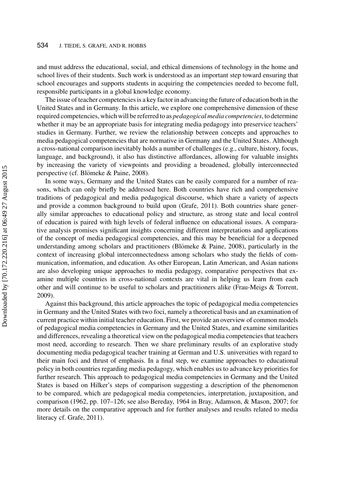and must address the educational, social, and ethical dimensions of technology in the home and school lives of their students. Such work is understood as an important step toward ensuring that school encourages and supports students in acquiring the competencies needed to become full, responsible participants in a global knowledge economy.

The issue of teacher competencies is a key factor in advancing the future of education both in the United States and in Germany. In this article, we explore one comprehensive dimension of these required competencies, which will be referred to as *pedagogical media competencies*, to determine whether it may be an appropriate basis for integrating media pedagogy into preservice teachers' studies in Germany. Further, we review the relationship between concepts and approaches to media pedagogical competencies that are normative in Germany and the United States. Although a cross-national comparison inevitably holds a number of challenges (e.g., culture, history, focus, language, and background), it also has distinctive affordances, allowing for valuable insights by increasing the variety of viewpoints and providing a broadened, globally interconnected perspective (cf. Blömeke & Paine, 2008).

In some ways, Germany and the United States can be easily compared for a number of reasons, which can only briefly be addressed here. Both countries have rich and comprehensive traditions of pedagogical and media pedagogical discourse, which share a variety of aspects and provide a common background to build upon (Grafe, 2011). Both countries share generally similar approaches to educational policy and structure, as strong state and local control of education is paired with high levels of federal influence on educational issues. A comparative analysis promises significant insights concerning different interpretations and applications of the concept of media pedagogical competencies, and this may be beneficial for a deepened understanding among scholars and practitioners (Blömeke & Paine, 2008), particularly in the context of increasing global interconnectedness among scholars who study the fields of communication, information, and education. As other European, Latin American, and Asian nations are also developing unique approaches to media pedagogy, comparative perspectives that examine multiple countries in cross-national contexts are vital in helping us learn from each other and will continue to be useful to scholars and practitioners alike (Frau-Meigs & Torrent, 2009).

Against this background, this article approaches the topic of pedagogical media competencies in Germany and the United States with two foci, namely a theoretical basis and an examination of current practice within initial teacher education. First, we provide an overview of common models of pedagogical media competencies in Germany and the United States, and examine similarities and differences, revealing a theoretical view on the pedagogical media competencies that teachers most need, according to research. Then we share preliminary results of an explorative study documenting media pedagogical teacher training at German and U.S. universities with regard to their main foci and thrust of emphasis. In a final step, we examine approaches to educational policy in both countries regarding media pedagogy, which enables us to advance key priorities for further research. This approach to pedagogical media competencies in Germany and the United States is based on Hilker's steps of comparison suggesting a description of the phenomenon to be compared, which are pedagogical media competencies, interpretation, juxtaposition, and comparison (1962, pp. 107–126; see also Bereday, 1964 in Bray, Adamson, & Mason, 2007; for more details on the comparative approach and for further analyses and results related to media literacy cf. Grafe, 2011).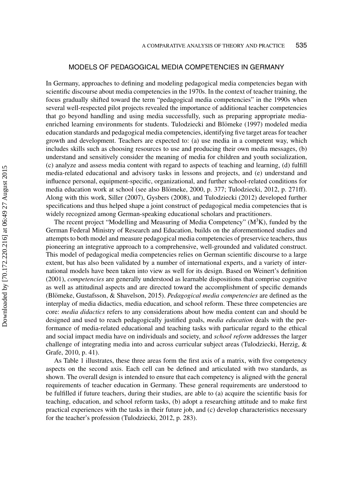#### MODELS OF PEDAGOGICAL MEDIA COMPETENCIES IN GERMANY

In Germany, approaches to defining and modeling pedagogical media competencies began with scientific discourse about media competencies in the 1970s. In the context of teacher training, the focus gradually shifted toward the term "pedagogical media competencies" in the 1990s when several well-respected pilot projects revealed the importance of additional teacher competencies that go beyond handling and using media successfully, such as preparing appropriate mediaenriched learning environments for students. Tulodziecki and Blömeke (1997) modeled media education standards and pedagogical media competencies, identifying five target areas for teacher growth and development. Teachers are expected to: (a) use media in a competent way, which includes skills such as choosing resources to use and producing their own media messages, (b) understand and sensitively consider the meaning of media for children and youth socialization, (c) analyze and assess media content with regard to aspects of teaching and learning, (d) fulfill media-related educational and advisory tasks in lessons and projects, and (e) understand and influence personal, equipment-specific, organizational, and further school-related conditions for media education work at school (see also Blömeke, 2000, p. 377; Tulodziecki, 2012, p. 271ff). Along with this work, Siller (2007), Gysbers (2008), and Tulodziecki (2012) developed further specifications and thus helped shape a joint construct of pedagogical media competencies that is widely recognized among German-speaking educational scholars and practitioners.

The recent project "Modelling and Measuring of Media Competency" (M<sup>3</sup>K), funded by the German Federal Ministry of Research and Education, builds on the aforementioned studies and attempts to both model and measure pedagogical media competencies of preservice teachers, thus pioneering an integrative approach to a comprehensive, well-grounded and validated construct. This model of pedagogical media competencies relies on German scientific discourse to a large extent, but has also been validated by a number of international experts, and a variety of international models have been taken into view as well for its design. Based on Weinert's definition (2001), *competencies* are generally understood as learnable dispositions that comprise cognitive as well as attitudinal aspects and are directed toward the accomplishment of specific demands (Blömeke, Gustafsson, & Shavelson, 2015). Pedagogical media competencies are defined as the interplay of media didactics, media education, and school reform. These three competencies are core: *media didactics* refers to any considerations about how media content can and should be designed and used to reach pedagogically justified goals, *media education* deals with the performance of media-related educational and teaching tasks with particular regard to the ethical and social impact media have on individuals and society, and *school reform* addresses the larger challenge of integrating media into and across curricular subject areas (Tulodziecki, Herzig, & Grafe, 2010, p. 41).

As Table 1 illustrates, these three areas form the first axis of a matrix, with five competency aspects on the second axis. Each cell can be defined and articulated with two standards, as shown. The overall design is intended to ensure that each competency is aligned with the general requirements of teacher education in Germany. These general requirements are understood to be fulfilled if future teachers, during their studies, are able to (a) acquire the scientific basis for teaching, education, and school reform tasks, (b) adopt a researching attitude and to make first practical experiences with the tasks in their future job, and (c) develop characteristics necessary for the teacher's profession (Tulodziecki, 2012, p. 283).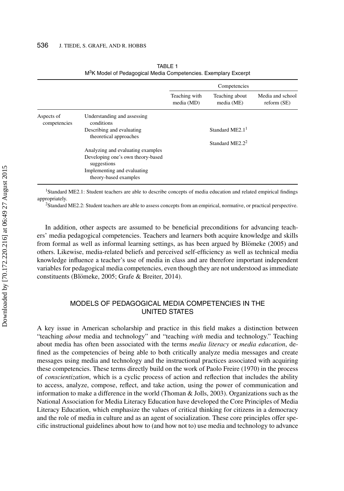|                            |                                                      | Competencies                |                                         |                                |
|----------------------------|------------------------------------------------------|-----------------------------|-----------------------------------------|--------------------------------|
|                            |                                                      | Teaching with<br>media (MD) | Teaching about<br>media (ME)            | Media and school<br>reform(SE) |
| Aspects of<br>competencies | Understanding and assessing<br>conditions            |                             |                                         |                                |
|                            | Describing and evaluating                            |                             | Standard ME <sub>2.1</sub> <sup>1</sup> |                                |
|                            | theoretical approaches                               |                             | Standard ME2. $2^2$                     |                                |
|                            | Analyzing and evaluating examples                    |                             |                                         |                                |
|                            | Developing one's own theory-based<br>suggestions     |                             |                                         |                                |
|                            | Implementing and evaluating<br>theory-based examples |                             |                                         |                                |

TABLE 1 M<sup>3</sup>K Model of Pedagogical Media Competencies. Exemplary Excerpt

<sup>1</sup>Standard ME2.1: Student teachers are able to describe concepts of media education and related empirical findings appropriately.

<sup>2</sup>Standard ME2.2: Student teachers are able to assess concepts from an empirical, normative, or practical perspective.

In addition, other aspects are assumed to be beneficial preconditions for advancing teachers' media pedagogical competencies. Teachers and learners both acquire knowledge and skills from formal as well as informal learning settings, as has been argued by Blömeke (2005) and others. Likewise, media-related beliefs and perceived self-efficiency as well as technical media knowledge influence a teacher's use of media in class and are therefore important independent variables for pedagogical media competencies, even though they are not understood as immediate constituents (Blömeke, 2005; Grafe  $&$  Breiter, 2014).

#### MODELS OF PEDAGOGICAL MEDIA COMPETENCIES IN THE UNITED STATES

A key issue in American scholarship and practice in this field makes a distinction between "teaching *about* media and technology" and "teaching *with* media and technology." Teaching about media has often been associated with the terms *media literacy* or *media education*, defined as the competencies of being able to both critically analyze media messages and create messages using media and technology and the instructional practices associated with acquiring these competencies. These terms directly build on the work of Paolo Freire (1970) in the process of *conscientization*, which is a cyclic process of action and reflection that includes the ability to access, analyze, compose, reflect, and take action, using the power of communication and information to make a difference in the world (Thoman & Jolls, 2003). Organizations such as the National Association for Media Literacy Education have developed the Core Principles of Media Literacy Education, which emphasize the values of critical thinking for citizens in a democracy and the role of media in culture and as an agent of socialization. These core principles offer specific instructional guidelines about how to (and how not to) use media and technology to advance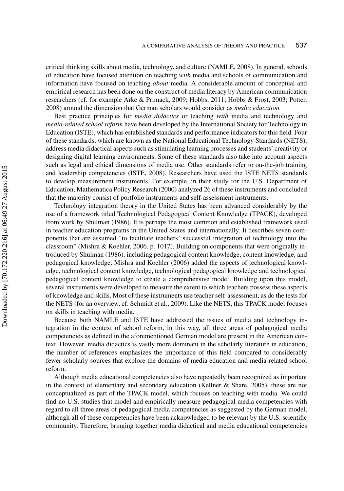critical thinking skills about media, technology, and culture (NAMLE, 2008). In general, schools of education have focused attention on teaching *with* media and schools of communication and information have focused on teaching *about* media. A considerable amount of conceptual and empirical research has been done on the construct of media literacy by American communication researchers (cf. for example Arke & Primack, 2009; Hobbs, 2011; Hobbs & Frost, 2003; Potter, 2008) around the dimension that German scholars would consider as *media education.*

Best practice principles for *media didactics* or teaching *with* media and technology and *media-related school reform* have been developed by the International Society for Technology in Education (ISTE), which has established standards and performance indicators for this field. Four of these standards, which are known as the National Educational Technology Standards (NETS), address media didactical aspects such as stimulating learning processes and students' creativity or designing digital learning environments. Some of these standards also take into account aspects such as legal and ethical dimensions of media use. Other standards refer to on-the-job training and leadership competencies (ISTE, 2008). Researchers have used the ISTE NETS standards to develop measurement instruments. For example, in their study for the U.S. Department of Education, Mathematica Policy Research (2000) analyzed 26 of these instruments and concluded that the majority consist of portfolio instruments and self-assessment instruments.

Technology integration theory in the United States has been advanced considerably by the use of a framework titled Technological Pedagogical Content Knowledge (TPACK), developed from work by Shulman (1986). It is perhaps the most common and established framework used in teacher education programs in the United States and internationally. It describes seven components that are assumed "to facilitate teachers' successful integration of technology into the classroom" (Mishra & Koehler, 2006, p. 1017). Building on components that were originally introduced by Shulman (1986), including pedagogical content knowledge, content knowledge, and pedagogical knowledge, Mishra and Koehler (2006) added the aspects of technological knowledge, technological content knowledge, technological pedagogical knowledge and technological pedagogical content knowledge to create a comprehensive model. Building upon this model, several instruments were developed to measure the extent to which teachers possess these aspects of knowledge and skills. Most of these instruments use teacher self-assessment, as do the tests for the NETS (for an overview, cf. Schmidt et al., 2009). Like the NETS, this TPACK model focuses on skills in teaching with media.

Because both NAMLE and ISTE have addressed the issues of media and technology integration in the context of school reform, in this way, all three areas of pedagogical media competencies as defined in the aforementioned German model are present in the American context. However, media didactics is vastly more dominant in the scholarly literature in education; the number of references emphasizes the importance of this field compared to considerably fewer scholarly sources that explore the domains of media education and media-related school reform.

Although media educational competencies also have repeatedly been recognized as important in the context of elementary and secondary education (Kellner  $\&$  Share, 2005), these are not conceptualized as part of the TPACK model, which focuses on teaching with media. We could find no U.S. studies that model and empirically measure pedagogical media competencies with regard to all three areas of pedagogical media competencies as suggested by the German model, although all of these competencies have been acknowledged to be relevant by the U.S. scientific community. Therefore, bringing together media didactical and media educational competencies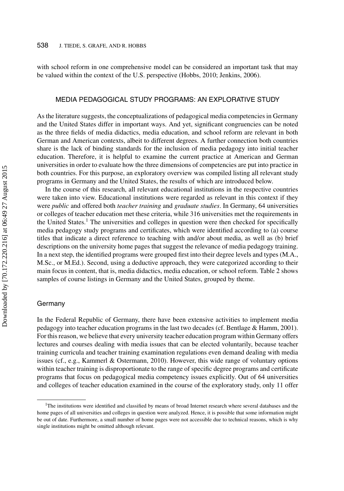with school reform in one comprehensive model can be considered an important task that may be valued within the context of the U.S. perspective (Hobbs, 2010; Jenkins, 2006).

#### MEDIA PEDAGOGICAL STUDY PROGRAMS: AN EXPLORATIVE STUDY

As the literature suggests, the conceptualizations of pedagogical media competencies in Germany and the United States differ in important ways. And yet, significant congruencies can be noted as the three fields of media didactics, media education, and school reform are relevant in both German and American contexts, albeit to different degrees. A further connection both countries share is the lack of binding standards for the inclusion of media pedagogy into initial teacher education. Therefore, it is helpful to examine the current practice at American and German universities in order to evaluate how the three dimensions of competencies are put into practice in both countries. For this purpose, an exploratory overview was compiled listing all relevant study programs in Germany and the United States, the results of which are introduced below.

In the course of this research, all relevant educational institutions in the respective countries were taken into view. Educational institutions were regarded as relevant in this context if they were *public* and offered both *teacher training* and *graduate studies*. In Germany, 64 universities or colleges of teacher education met these criteria, while 316 universities met the requirements in the United States.<sup>1</sup> The universities and colleges in question were then checked for specifically media pedagogy study programs and certificates, which were identified according to (a) course titles that indicate a direct reference to teaching with and/or about media, as well as (b) brief descriptions on the university home pages that suggest the relevance of media pedagogy training. In a next step, the identified programs were grouped first into their degree levels and types (M.A., M.Sc., or M.Ed.). Second, using a deductive approach, they were categorized according to their main focus in content, that is, media didactics, media education, or school reform. Table 2 shows samples of course listings in Germany and the United States, grouped by theme.

#### Germany

In the Federal Republic of Germany, there have been extensive activities to implement media pedagogy into teacher education programs in the last two decades (cf. Bentlage & Hamm, 2001). For this reason, we believe that every university teacher education program within Germany offers lectures and courses dealing with media issues that can be elected voluntarily, because teacher training curricula and teacher training examination regulations even demand dealing with media issues (cf., e.g., Kammerl & Ostermann, 2010). However, this wide range of voluntary options within teacher training is disproportionate to the range of specific degree programs and certificate programs that focus on pedagogical media competency issues explicitly. Out of 64 universities and colleges of teacher education examined in the course of the exploratory study, only 11 offer

<sup>&</sup>lt;sup>1</sup>The institutions were identified and classified by means of broad Internet research where several databases and the home pages of all universities and colleges in question were analyzed. Hence, it is possible that some information might be out of date. Furthermore, a small number of home pages were not accessible due to technical reasons, which is why single institutions might be omitted although relevant.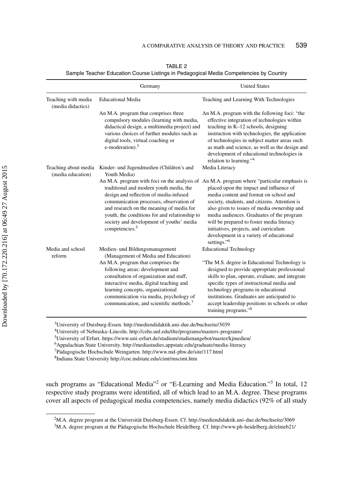|                                           | Germany                                                                                                                                                                                                                                                                                             | <b>United States</b>                                                                                                                                                                                                                                                                                                                                                                                                                                                                     |
|-------------------------------------------|-----------------------------------------------------------------------------------------------------------------------------------------------------------------------------------------------------------------------------------------------------------------------------------------------------|------------------------------------------------------------------------------------------------------------------------------------------------------------------------------------------------------------------------------------------------------------------------------------------------------------------------------------------------------------------------------------------------------------------------------------------------------------------------------------------|
| Teaching with media<br>(media didactics)  | <b>Educational Media</b>                                                                                                                                                                                                                                                                            | Teaching and Learning With Technologies                                                                                                                                                                                                                                                                                                                                                                                                                                                  |
|                                           | An M.A. program that comprises three<br>compulsory modules (learning with media,<br>didactical design, a multimedia project) and<br>various choices of further modules such as<br>digital tools, virtual coaching or<br>$e$ -moderation). <sup>3</sup>                                              | An M.A. program with the following foci: "the<br>effective integration of technologies within<br>teaching in $K-12$ schools, designing<br>instruction with technologies, the application<br>of technologies in subject matter areas such<br>as math and science, as well as the design and<br>development of educational technologies in<br>relation to learning." <sup>4</sup>                                                                                                          |
| Teaching about media<br>(media education) | Kinder- und Jugendmedien (Children's and<br>Youth Media)                                                                                                                                                                                                                                            | Media Literacy                                                                                                                                                                                                                                                                                                                                                                                                                                                                           |
|                                           | traditional and modern youth media, the<br>design and reflection of media-infused<br>communication processes, observation of<br>and research on the meaning of media for<br>youth, the conditions for and relationship to<br>society and development of youths' media<br>competencies. <sup>5</sup> | An M.A. program with foci on the analysis of An M.A. program where "particular emphasis is<br>placed upon the impact and influence of<br>media content and format on school and<br>society, students, and citizens. Attention is<br>also given to issues of media ownership and<br>media audiences. Graduates of the program<br>will be prepared to foster media literacy<br>initiatives, projects, and curriculum<br>development in a variety of educational<br>settings." <sup>6</sup> |
| Media and school<br>reform                | Medien- und Bildungsmanagement<br>(Management of Media and Education)                                                                                                                                                                                                                               | <b>Educational Technology</b>                                                                                                                                                                                                                                                                                                                                                                                                                                                            |
|                                           | An M.A. program that comprises the<br>following areas: development and<br>consultation of organization and staff,<br>interactive media, digital teaching and<br>learning concepts, organizational<br>communication via media, psychology of<br>communication, and scientific methods. <sup>7</sup>  | "The M.S. degree in Educational Technology is<br>designed to provide appropriate professional<br>skills to plan, operate, evaluate, and integrate<br>specific types of instructional media and<br>technology programs in educational<br>institutions. Graduates are anticipated to<br>accept leadership positions in schools or other<br>training programs." <sup>8</sup>                                                                                                                |

TABLE 2 Sample Teacher Education Course Listings in Pedagogical Media Competencies by Country

3University of Duisburg-Essen. http://mediendidaktik.uni-due.de/buchseite/3039

4University of Nebraska–Lincoln. http://cehs.unl.edu/tlte/programs/masters-programs/

5University of Erfurt. https://www.uni-erfurt.de/studium/studienangebot/master/kjmedien/

6Appalachian State University. http://mediastudies.appstate.edu/graduate/media-literacy

7Padagogische Hochschule Weingarten. http://www.md-phw.de/site/117.html ¨

8Indiana State University http://coe.indstate.edu/cimt/mscimt.htm

such programs as "Educational Media"<sup>2</sup> or "E-Learning and Media Education."<sup>3</sup> In total, 12 respective study programs were identified, all of which lead to an M.A. degree. These programs cover all aspects of pedagogical media competencies, namely media didactics (92% of all study

<sup>&</sup>lt;sup>2</sup>M.A. degree program at the Universität Duisburg-Essen. Cf. http://mediendidaktik.uni-due.de/buchseite/3069

<sup>&</sup>lt;sup>3</sup>M.A. degree program at the Pädagogische Hochschule Heidelberg. Cf. http://www.ph-heidelberg.de/elmeb21/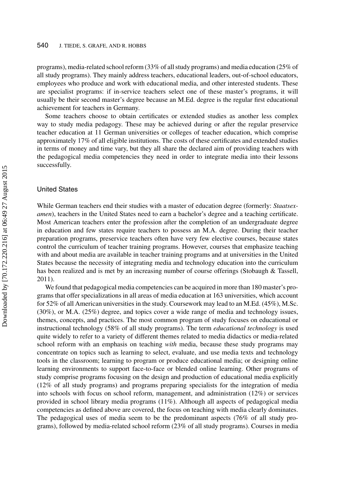programs), media-related school reform (33% of all study programs) and media education (25% of all study programs). They mainly address teachers, educational leaders, out-of-school educators, employees who produce and work with educational media, and other interested students. These are specialist programs: if in-service teachers select one of these master's programs, it will usually be their second master's degree because an M.Ed. degree is the regular first educational achievement for teachers in Germany.

Some teachers choose to obtain certificates or extended studies as another less complex way to study media pedagogy. These may be achieved during or after the regular preservice teacher education at 11 German universities or colleges of teacher education, which comprise approximately 17% of all eligible institutions. The costs of these certificates and extended studies in terms of money and time vary, but they all share the declared aim of providing teachers with the pedagogical media competencies they need in order to integrate media into their lessons successfully.

#### United States

While German teachers end their studies with a master of education degree (formerly: *Staatsexamen*), teachers in the United States need to earn a bachelor's degree and a teaching certificate. Most American teachers enter the profession after the completion of an undergraduate degree in education and few states require teachers to possess an M.A. degree. During their teacher preparation programs, preservice teachers often have very few elective courses, because states control the curriculum of teacher training programs. However, courses that emphasize teaching with and about media are available in teacher training programs and at universities in the United States because the necessity of integrating media and technology education into the curriculum has been realized and is met by an increasing number of course offerings (Stobaugh & Tassell, 2011).

We found that pedagogical media competencies can be acquired in more than 180 master's programs that offer specializations in all areas of media education at 163 universities, which account for 52% of all American universities in the study. Coursework may lead to an M.Ed. (45%), M.Sc. (30%), or M.A. (25%) degree, and topics cover a wide range of media and technology issues, themes, concepts, and practices. The most common program of study focuses on educational or instructional technology (58% of all study programs). The term *educational technology* is used quite widely to refer to a variety of different themes related to media didactics or media-related school reform with an emphasis on teaching *with* media, because these study programs may concentrate on topics such as learning to select, evaluate, and use media texts and technology tools in the classroom; learning to program or produce educational media; or designing online learning environments to support face-to-face or blended online learning. Other programs of study comprise programs focusing on the design and production of educational media explicitly (12% of all study programs) and programs preparing specialists for the integration of media into schools with focus on school reform, management, and administration (12%) or services provided in school library media programs (11%). Although all aspects of pedagogical media competencies as defined above are covered, the focus on teaching with media clearly dominates. The pedagogical uses of media seem to be the predominant aspects (76% of all study programs), followed by media-related school reform (23% of all study programs). Courses in media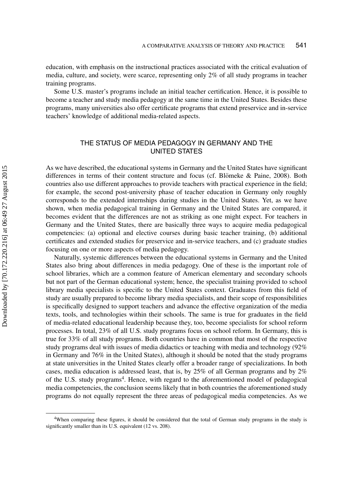education, with emphasis on the instructional practices associated with the critical evaluation of media, culture, and society, were scarce, representing only 2% of all study programs in teacher training programs.

Some U.S. master's programs include an initial teacher certification. Hence, it is possible to become a teacher and study media pedagogy at the same time in the United States. Besides these programs, many universities also offer certificate programs that extend preservice and in-service teachers' knowledge of additional media-related aspects.

#### THE STATUS OF MEDIA PEDAGOGY IN GERMANY AND THE UNITED STATES

As we have described, the educational systems in Germany and the United States have significant differences in terms of their content structure and focus (cf. Blömeke & Paine, 2008). Both countries also use different approaches to provide teachers with practical experience in the field; for example, the second post-university phase of teacher education in Germany only roughly corresponds to the extended internships during studies in the United States. Yet, as we have shown, when media pedagogical training in Germany and the United States are compared, it becomes evident that the differences are not as striking as one might expect. For teachers in Germany and the United States, there are basically three ways to acquire media pedagogical competencies: (a) optional and elective courses during basic teacher training, (b) additional certificates and extended studies for preservice and in-service teachers, and (c) graduate studies focusing on one or more aspects of media pedagogy.

Naturally, systemic differences between the educational systems in Germany and the United States also bring about differences in media pedagogy. One of these is the important role of school libraries, which are a common feature of American elementary and secondary schools but not part of the German educational system; hence, the specialist training provided to school library media specialists is specific to the United States context. Graduates from this field of study are usually prepared to become library media specialists, and their scope of responsibilities is specifically designed to support teachers and advance the effective organization of the media texts, tools, and technologies within their schools. The same is true for graduates in the field of media-related educational leadership because they, too, become specialists for school reform processes. In total, 23% of all U.S. study programs focus on school reform. In Germany, this is true for 33% of all study programs. Both countries have in common that most of the respective study programs deal with issues of media didactics or teaching with media and technology (92% in Germany and 76% in the United States), although it should be noted that the study programs at state universities in the United States clearly offer a broader range of specializations. In both cases, media education is addressed least, that is, by 25% of all German programs and by 2% of the U.S. study programs<sup>4</sup>. Hence, with regard to the aforementioned model of pedagogical media competencies, the conclusion seems likely that in both countries the aforementioned study programs do not equally represent the three areas of pedagogical media competencies. As we

<sup>4</sup>When comparing these figures, it should be considered that the total of German study programs in the study is significantly smaller than its U.S. equivalent (12 vs. 208).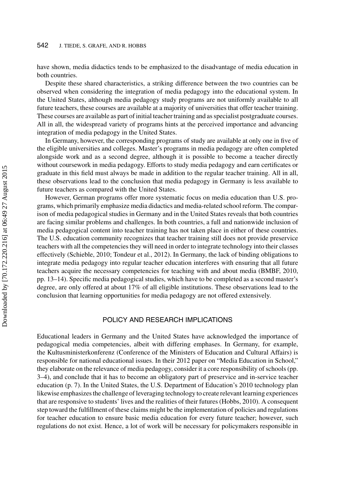#### 542 J. TIEDE, S. GRAFE, AND R. HOBBS

have shown, media didactics tends to be emphasized to the disadvantage of media education in both countries.

Despite these shared characteristics, a striking difference between the two countries can be observed when considering the integration of media pedagogy into the educational system. In the United States, although media pedagogy study programs are not uniformly available to all future teachers, these courses are available at a majority of universities that offer teacher training. These courses are available as part of initial teacher training and as specialist postgraduate courses. All in all, the widespread variety of programs hints at the perceived importance and advancing integration of media pedagogy in the United States.

In Germany, however, the corresponding programs of study are available at only one in five of the eligible universities and colleges. Master's programs in media pedagogy are often completed alongside work and as a second degree, although it is possible to become a teacher directly without coursework in media pedagogy. Efforts to study media pedagogy and earn certificates or graduate in this field must always be made in addition to the regular teacher training. All in all, these observations lead to the conclusion that media pedagogy in Germany is less available to future teachers as compared with the United States.

However, German programs offer more systematic focus on media education than U.S. programs, which primarily emphasize media didactics and media-related school reform. The comparison of media pedagogical studies in Germany and in the United States reveals that both countries are facing similar problems and challenges. In both countries, a full and nationwide inclusion of media pedagogical content into teacher training has not taken place in either of these countries. The U.S. education community recognizes that teacher training still does not provide preservice teachers with all the competencies they will need in order to integrate technology into their classes effectively (Schieble, 2010; Tondeur et al., 2012). In Germany, the lack of binding obligations to integrate media pedagogy into regular teacher education interferes with ensuring that all future teachers acquire the necessary competencies for teaching with and about media (BMBF, 2010, pp. 13–14). Specific media pedagogical studies, which have to be completed as a second master's degree, are only offered at about 17% of all eligible institutions. These observations lead to the conclusion that learning opportunities for media pedagogy are not offered extensively.

#### POLICY AND RESEARCH IMPLICATIONS

Educational leaders in Germany and the United States have acknowledged the importance of pedagogical media competencies, albeit with differing emphases. In Germany, for example, the Kultusministerkonferenz (Conference of the Ministers of Education and Cultural Affairs) is responsible for national educational issues. In their 2012 paper on "Media Education in School," they elaborate on the relevance of media pedagogy, consider it a core responsibility of schools (pp. 3–4), and conclude that it has to become an obligatory part of preservice and in-service teacher education (p. 7). In the United States, the U.S. Department of Education's 2010 technology plan likewise emphasizes the challenge of leveraging technology to create relevant learning experiences that are responsive to students' lives and the realities of their futures (Hobbs, 2010). A consequent step toward the fulfillment of these claims might be the implementation of policies and regulations for teacher education to ensure basic media education for every future teacher; however, such regulations do not exist. Hence, a lot of work will be necessary for policymakers responsible in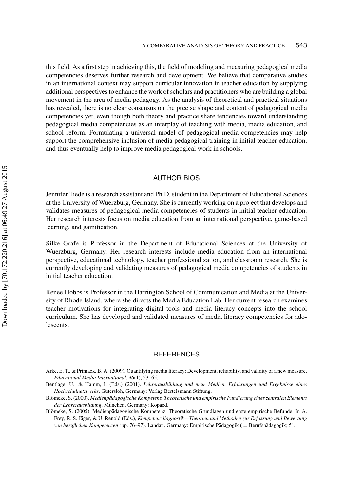this field. As a first step in achieving this, the field of modeling and measuring pedagogical media competencies deserves further research and development. We believe that comparative studies in an international context may support curricular innovation in teacher education by supplying additional perspectives to enhance the work of scholars and practitioners who are building a global movement in the area of media pedagogy. As the analysis of theoretical and practical situations has revealed, there is no clear consensus on the precise shape and content of pedagogical media competencies yet, even though both theory and practice share tendencies toward understanding pedagogical media competencies as an interplay of teaching with media, media education, and school reform. Formulating a universal model of pedagogical media competencies may help support the comprehensive inclusion of media pedagogical training in initial teacher education, and thus eventually help to improve media pedagogical work in schools.

#### AUTHOR BIOS

Jennifer Tiede is a research assistant and Ph.D. student in the Department of Educational Sciences at the University of Wuerzburg, Germany. She is currently working on a project that develops and validates measures of pedagogical media competencies of students in initial teacher education. Her research interests focus on media education from an international perspective, game-based learning, and gamification.

Silke Grafe is Professor in the Department of Educational Sciences at the University of Wuerzburg, Germany. Her research interests include media education from an international perspective, educational technology, teacher professionalization, and classroom research. She is currently developing and validating measures of pedagogical media competencies of students in initial teacher education.

Renee Hobbs is Professor in the Harrington School of Communication and Media at the University of Rhode Island, where she directs the Media Education Lab. Her current research examines teacher motivations for integrating digital tools and media literacy concepts into the school curriculum. She has developed and validated measures of media literacy competencies for adolescents.

#### **REFERENCES**

- Arke, E. T., & Primack, B. A. (2009). Quantifying media literacy: Development, reliability, and validity of a new measure. *Educational Media International*, *46*(1), 53–65.
- Bentlage, U., & Hamm, I. (Eds.) (2001). *Lehrerausbildung und neue Medien. Erfahrungen und Ergebnisse eines Hochschulnetzwerks*. Gütersloh, Germany: Verlag Bertelsmann Stiftung.
- Blömeke, S. (2000). Medienpädagogische Kompetenz. Theoretische und empirische Fundierung eines zentralen Elements der Lehrerausbildung. München, Germany: Kopaed.

Blömeke, S. (2005). Medienpädagogische Kompetenz. Theoretische Grundlagen und erste empirische Befunde. In A. Frey, R. S. Jäger, & U. Renold (Eds.), Kompetenzdiagnostik—Theorien und Methoden zur Erfassung und Bewertung *von beruflichen Kompetenzen* (pp. 76–97). Landau, Germany: Empirische Pädagogik ( = Berufspädagogik; 5).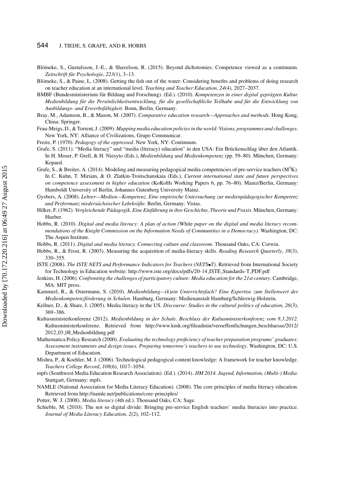- Blömeke, S., Gustafsson, J.-E., & Shavelson, R. (2015). Beyond dichotomies: Competence viewed as a continuum. *Zeitschrift fur Psychologie ¨* , *223*(1), 3–13.
- Blömeke, S., & Paine, L. (2008). Getting the fish out of the water: Considering benefits and problems of doing research on teacher education at an international level. *Teaching and Teacher Education*, *24*(4), 2027–2037.
- BMBF (Bundesministerium für Bildung und Forschung). (Ed.). (2010). *Kompetenzen in einer digital geprägten Kultur. Medienbildung fur die Pers ¨ onlichkeitsentwicklung, f ¨ ur die gesellschaftliche Teilhabe und f ¨ ur die Entwicklung von ¨ Ausbildungs- und Erwerbsfahigkeit ¨* . Bonn, Berlin, Germany.
- Bray, M., Adamson, B., & Mason, M. (2007). *Comparative education research—Approaches and methods*. Hong Kong, China: Springer.
- Frau-Meigs, D., & Torrent, J. (2009). *Mapping media education policies in the world: Visions, programmes and challenges*. New York, NY: Alliance of Civilizations, Grupo Communicar.
- Freire, P. (1970). *Pedagogy of the oppressed*. New York, NY: Continuum.
- Grafe, S. (2011). "Media literacy" und "media (literacy) education" in den USA: Ein Brückenschlag über den Atlantik. In H. Moser, P. Grell, & H. Niesyto (Eds.), *Medienbildung und Medienkompetenz* (pp. 59–80). Munchen, Germany: ¨ Kopaed.
- Grafe, S., & Breiter, A. (2014). Modeling and measuring pedagogical media competencies of pre-service teachers  $(M^3K)$ . In C. Kuhn, T. Miriam, & O. Zlatkin-Troitschanskaia (Eds.), *Current international state and future perspectives on competence assessment in higher education* (KoKoHs Working Papers 6, pp. 76–80). Mainz/Berlin, Germany: Humboldt University of Berlin, Johannes Gutenberg University Mainz.
- Gysbers, A. (2008). *Lehrer—Medien—Kompetenz. Eine empirische Untersuchung zur medienpadagogischer Kompetenz ¨ und Performanz niedersachsischer Lehrkr ¨ afte ¨* . Berlin, Germany: Vistas.
- Hilker, F. (1962). *Vergleichende Pädagogik. Eine Einführung in ihre Geschichte, Theorie und Praxis. München, Germany:* Hueber.
- Hobbs, R. (2010). *Digital and media literacy: A plan of action (*White *paper on the digital and media literacy recommendations of the Knight Commission on the Information Needs of Communities in a Democracy)*. Washington, DC: The Aspen Institute.
- Hobbs, R. (2011). *Digital and media literacy. Connecting culture and classroom*. Thousand Oaks, CA: Corwin.
- Hobbs, R., & Frost, R. (2003). Measuring the acquisition of media-literacy skills. *Reading Research Quarterly*, *38*(3), 330–355.
- ISTE (2008). *The ISTE NETS and Performance Indicators for Teachers (NETS*•*T)*. Retrieved from International Society for Technology in Education website: http://www.iste.org/docs/pdfs/20-14 ISTE Standards-T PDF.pdf
- Jenkins, H. (2006). *Confronting the challenges of participatory culture: Media education for the 21st century*. Cambridge, MA: MIT press.
- Kammerl, R., & Ostermann, S. (2010). *Medienbildung—(k)ein Unterrichtsfach? Eine Expertise zum Stellenwert der Medienkompetenzforderung in Schulen ¨* . Hamburg, Germany: Medienanstalt Hamburg/Schleswig-Holstein.
- Kellner, D., & Share, J. (2005). Media literacy in the US. *Discourse: Studies in the cultural politics of education*, *26*(3), 369–386.
- Kultusministerkonferenz (2012). *Medienbildung in der Schule. Beschluss der Kultusministerkonferenz vom 8.3.2012*. Kultusministerkonferenz. Retrieved from http://www.kmk.org/fileadmin/veroeffentlichungen beschluesse/2012/ 2012 03 08 Medienbildung.pdf
- Mathematica Policy Research (2000). *Evaluating the technology proficiency of teacher preparation programs' graduates: Assessment instruments and design issues. Preparing tomorrow's teachers to use technology*. Washington, DC: U.S. Department of Education.
- Mishra, P., & Koehler, M. J. (2006). Technological pedagogical content knowledge: A framework for teacher knowledge. *Teachers College Record*, *108*(6), 1017–1054.
- mpfs (Southwest Media Education Research Association). (Ed.). (2014). *JIM 2014. Jugend, Information, (Multi-) Media*. Stuttgart, Germany: mpfs.
- NAMLE (National Association for Media Literacy Education). (2008). The core principles of media literacy education. Retrieved from http://namle.net/publications/core-principles/
- Potter, W. J. (2008). *Media literacy* (4th ed.). Thousand Oaks, CA: Sage.
- Schieble, M. (2010). The not so digital divide: Bringing pre-service English teachers' media literacies into practice. *Journal of Media Literacy Education*, *2*(2), 102–112.